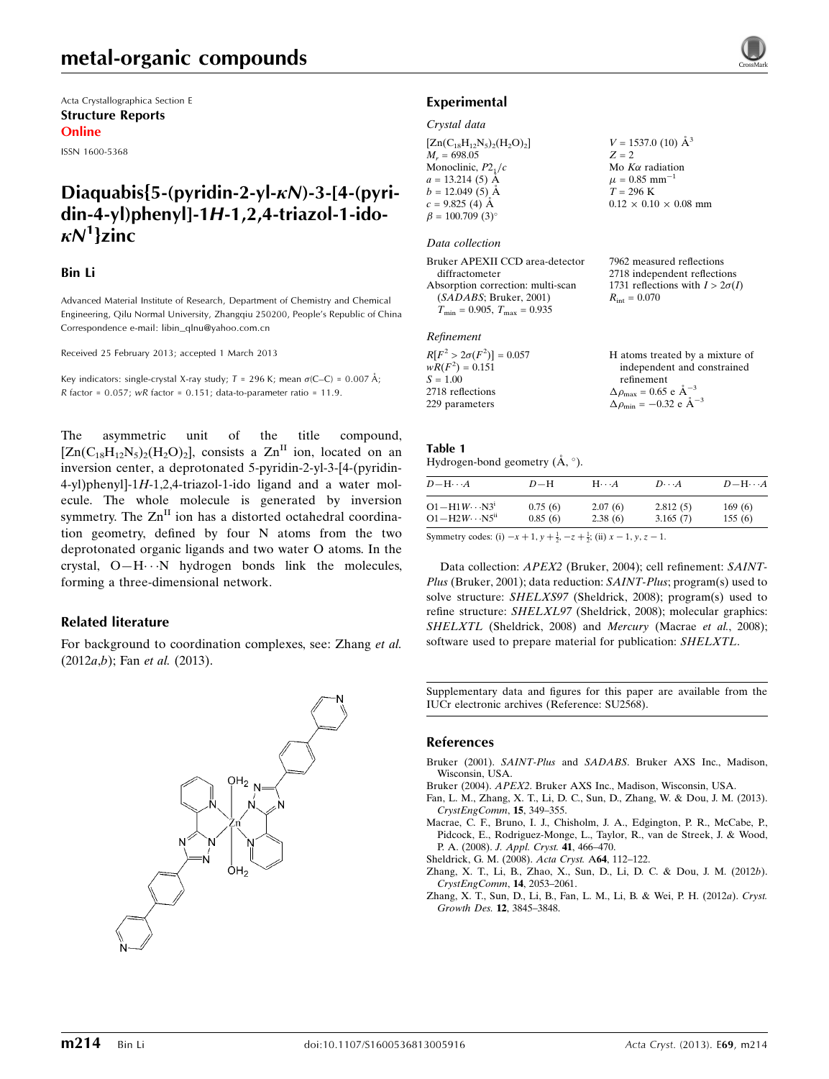Acta Crystallographica Section E Structure Reports Online

ISSN 1600-5368

# Diaquabis{5-(pyridin-2-yl- $\kappa$ N)-3-[4-(pyridin-4-yl)phenyl]-1H-1,2,4-triazol-1-ido- $\kappa N^1$ }zinc

### Bin Li

Advanced Material Institute of Research, Department of Chemistry and Chemical Engineering, Qilu Normal University, Zhangqiu 250200, People's Republic of China Correspondence e-mail: [libin\\_qlnu@yahoo.com.cn](https://scripts.iucr.org/cgi-bin/cr.cgi?rm=pdfbb&cnor=su2568&bbid=BB7)

Received 25 February 2013; accepted 1 March 2013

Key indicators: single-crystal X-ray study;  $T = 296$  K; mean  $\sigma$ (C–C) = 0.007 Å; R factor =  $0.057$ ; wR factor =  $0.151$ ; data-to-parameter ratio = 11.9.

The asymmetric unit of the title compound,  $[Zn(C_{18}H_{12}N_5)_2(H_2O)_2]$ , consists a  $Zn<sup>II</sup>$  ion, located on an inversion center, a deprotonated 5-pyridin-2-yl-3-[4-(pyridin-4-yl)phenyl]-1H-1,2,4-triazol-1-ido ligand and a water molecule. The whole molecule is generated by inversion symmetry. The  $Zn<sup>H</sup>$  ion has a distorted octahedral coordination geometry, defined by four N atoms from the two deprotonated organic ligands and two water O atoms. In the crystal, O-H $\cdots$ N hydrogen bonds link the molecules, forming a three-dimensional network.

### Related literature

For background to coordination complexes, see: Zhang et al.  $(2012a,b)$ ; Fan *et al.*  $(2013)$ .





### Experimental

### Crystal data

 $[Zn(C_{18}H_{12}N_5)_2(H_2O)_2]$  $M_r = 698.05$ Monoclinic,  $P2<sub>1</sub>/c$  $a = 13.214(5)$  Å  $b = 12.049(5)$  Å  $c = 9.825(4)$  Å  $\beta = 100.709$  (3)<sup>o</sup>  $V = 1537.0$  (10)  $\AA^3$  $Z = 2$ Mo  $K\alpha$  radiation  $\mu = 0.85$  mm<sup>-1</sup>  $T = 296 \text{ K}$  $0.12 \times 0.10 \times 0.08$  mm

### Data collection

Bruker APEXII CCD area-detector diffractometer Absorption correction: multi-scan (SADABS; Bruker, 2001)  $T_{\text{min}} = 0.905$ ,  $T_{\text{max}} = 0.935$ 

#### Refinement

| $R[F^2 > 2\sigma(F^2)] = 0.057$ | H atoms treated by a mixture of                    |
|---------------------------------|----------------------------------------------------|
| $wR(F^2) = 0.151$               | independent and constrained                        |
| $S = 1.00$                      | refinement                                         |
| 2718 reflections                | $\Delta \rho_{\text{max}} = 0.65 \text{ e A}^{-3}$ |
| 229 parameters                  | $\Delta \rho_{\text{min}} = -0.32$ e $\AA^{-3}$    |

7962 measured reflections 2718 independent reflections 1731 reflections with  $I > 2\sigma(I)$ 

 $R_{\text{int}} = 0.070$ 

#### Table 1 Hydrogen-bond geometry  $(\AA, \degree)$ .

| $D - H \cdots A$                                                                               | $D-H$   | $H\cdots A$ | $D\cdots A$ | $D-H\cdots A$ |
|------------------------------------------------------------------------------------------------|---------|-------------|-------------|---------------|
| $O1 - H1W \cdots N3^i$                                                                         | 0.75(6) | 2.07(6)     | 2.812(5)    | 169(6)        |
| $O1 - H2W \cdot \cdot \cdot NS^{ii}$                                                           | 0.85(6) | 2.38(6)     | 3.165(7)    | 155(6)        |
| $\mathcal{O}_{\text{symmetry and for}}(2) = 1.4 \times 1.1 = 1.63 \times 1.4 \times 1.1 = 1.1$ |         |             |             |               |

Symmetry codes: (i)  $-x+1$ ,  $y + \frac{1}{2}$ ,  $-z + \frac{1}{2}$ ; (ii)  $x - 1$ ,  $y$ ,  $z - 1$ .

Data collection: APEX2 (Bruker, 2004); cell refinement: SAINT-Plus (Bruker, 2001); data reduction: SAINT-Plus; program(s) used to solve structure: SHELXS97 (Sheldrick, 2008); program(s) used to refine structure: SHELXL97 (Sheldrick, 2008); molecular graphics: SHELXTL (Sheldrick, 2008) and Mercury (Macrae et al., 2008); software used to prepare material for publication: SHELXTL.

Supplementary data and figures for this paper are available from the IUCr electronic archives (Reference: SU2568).

### References

- Bruker (2001). SAINT-Plus and SADABS[. Bruker AXS Inc., Madison,](https://scripts.iucr.org/cgi-bin/cr.cgi?rm=pdfbb&cnor=su2568&bbid=BB1) [Wisconsin, USA.](https://scripts.iucr.org/cgi-bin/cr.cgi?rm=pdfbb&cnor=su2568&bbid=BB1)
- Bruker (2004). APEX2[. Bruker AXS Inc., Madison, Wisconsin, USA.](https://scripts.iucr.org/cgi-bin/cr.cgi?rm=pdfbb&cnor=su2568&bbid=BB2)
- [Fan, L. M., Zhang, X. T., Li, D. C., Sun, D., Zhang, W. & Dou, J. M. \(2013\).](https://scripts.iucr.org/cgi-bin/cr.cgi?rm=pdfbb&cnor=su2568&bbid=BB3) [CrystEngComm](https://scripts.iucr.org/cgi-bin/cr.cgi?rm=pdfbb&cnor=su2568&bbid=BB3), 15, 349–355.
- [Macrae, C. F., Bruno, I. J., Chisholm, J. A., Edgington, P. R., McCabe, P.,](https://scripts.iucr.org/cgi-bin/cr.cgi?rm=pdfbb&cnor=su2568&bbid=BB4) [Pidcock, E., Rodriguez-Monge, L., Taylor, R., van de Streek, J. & Wood,](https://scripts.iucr.org/cgi-bin/cr.cgi?rm=pdfbb&cnor=su2568&bbid=BB4) P. A. (2008). [J. Appl. Cryst.](https://scripts.iucr.org/cgi-bin/cr.cgi?rm=pdfbb&cnor=su2568&bbid=BB4) 41, 466–470.
- [Sheldrick, G. M. \(2008\).](https://scripts.iucr.org/cgi-bin/cr.cgi?rm=pdfbb&cnor=su2568&bbid=BB5) Acta Cryst. A64, 112–122.
- [Zhang, X. T., Li, B., Zhao, X., Sun, D., Li, D. C. & Dou, J. M. \(2012](https://scripts.iucr.org/cgi-bin/cr.cgi?rm=pdfbb&cnor=su2568&bbid=BB6)b). [CrystEngComm](https://scripts.iucr.org/cgi-bin/cr.cgi?rm=pdfbb&cnor=su2568&bbid=BB6), 14, 2053–2061.
- [Zhang, X. T., Sun, D., Li, B., Fan, L. M., Li, B. & Wei, P. H. \(2012](https://scripts.iucr.org/cgi-bin/cr.cgi?rm=pdfbb&cnor=su2568&bbid=BB7)a). Cryst. [Growth Des.](https://scripts.iucr.org/cgi-bin/cr.cgi?rm=pdfbb&cnor=su2568&bbid=BB7) 12, 3845–3848.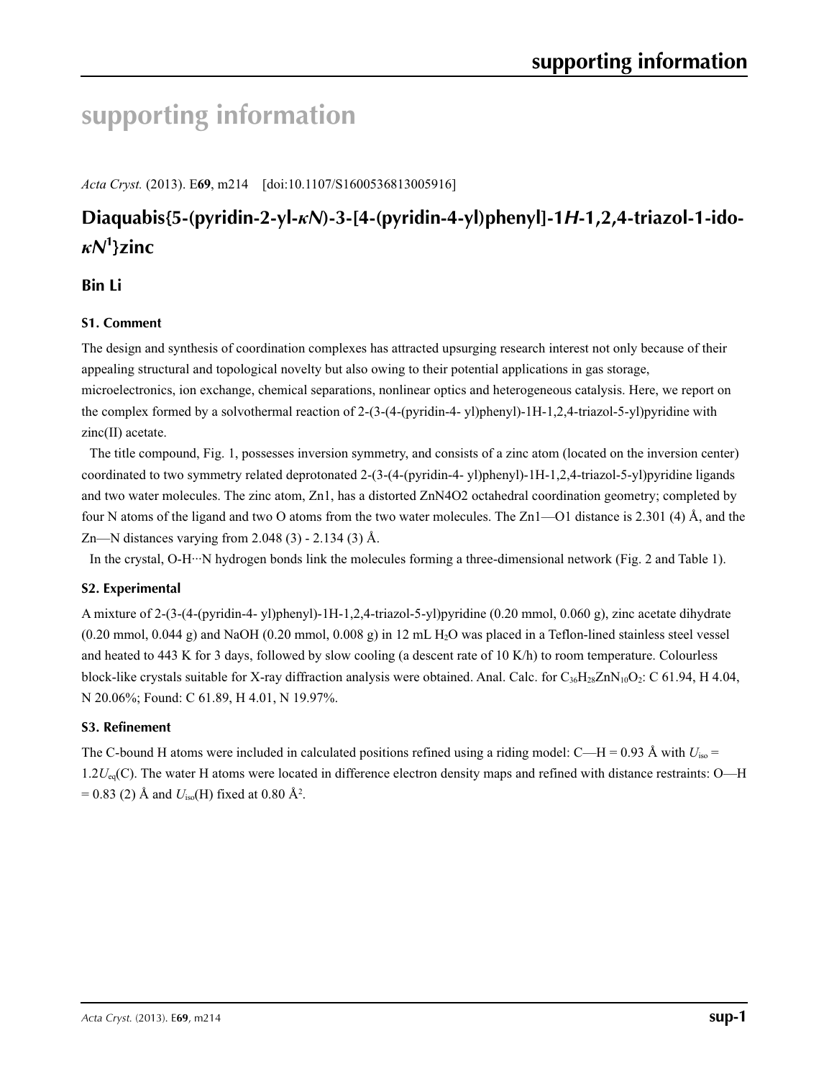# **supporting information**

*Acta Cryst.* (2013). E**69**, m214 [doi:10.1107/S1600536813005916]

# **Diaquabis{5-(pyridin-2-yl-***κN***)-3-[4-(pyridin-4-yl)phenyl]-1***H***-1,2,4-triazol-1-ido***κN***<sup>1</sup> }zinc**

# **Bin Li**

# **S1. Comment**

The design and synthesis of coordination complexes has attracted upsurging research interest not only because of their appealing structural and topological novelty but also owing to their potential applications in gas storage, microelectronics, ion exchange, chemical separations, nonlinear optics and heterogeneous catalysis. Here, we report on the complex formed by a solvothermal reaction of 2-(3-(4-(pyridin-4- yl)phenyl)-1H-1,2,4-triazol-5-yl)pyridine with zinc(II) acetate.

The title compound, Fig. 1, possesses inversion symmetry, and consists of a zinc atom (located on the inversion center) coordinated to two symmetry related deprotonated 2-(3-(4-(pyridin-4- yl)phenyl)-1H-1,2,4-triazol-5-yl)pyridine ligands and two water molecules. The zinc atom, Zn1, has a distorted ZnN4O2 octahedral coordination geometry; completed by four N atoms of the ligand and two O atoms from the two water molecules. The Zn1—O1 distance is 2.301 (4) Å, and the Zn—N distances varying from 2.048 (3) - 2.134 (3) Å.

In the crystal, O-H···N hydrogen bonds link the molecules forming a three-dimensional network (Fig. 2 and Table 1).

# **S2. Experimental**

A mixture of 2-(3-(4-(pyridin-4- yl)phenyl)-1H-1,2,4-triazol-5-yl)pyridine (0.20 mmol, 0.060 g), zinc acetate dihydrate  $(0.20 \text{ mmol}, 0.044 \text{ g})$  and NaOH  $(0.20 \text{ mmol}, 0.008 \text{ g})$  in 12 mL H<sub>2</sub>O was placed in a Teflon-lined stainless steel vessel and heated to 443 K for 3 days, followed by slow cooling (a descent rate of 10 K/h) to room temperature. Colourless block-like crystals suitable for X-ray diffraction analysis were obtained. Anal. Calc. for  $C_{36}H_{28}ZnN_{10}O_2$ : C 61.94, H 4.04, N 20.06%; Found: C 61.89, H 4.01, N 19.97%.

# **S3. Refinement**

The C-bound H atoms were included in calculated positions refined using a riding model: C—H = 0.93 Å with  $U_{\text{iso}}$  = 1.2*U*eq(C). The water H atoms were located in difference electron density maps and refined with distance restraints: O—H  $= 0.83$  (2) Å and  $U_{\text{iso}}$ (H) fixed at 0.80 Å<sup>2</sup>.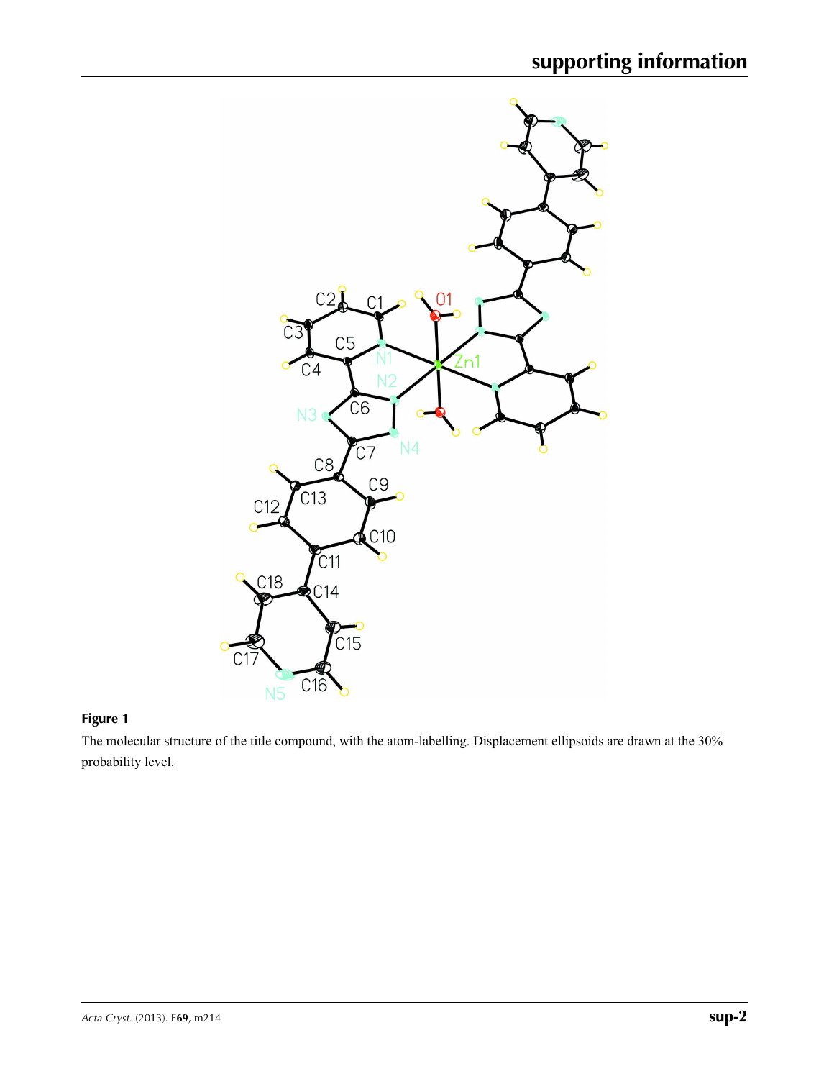

# **Figure 1**

The molecular structure of the title compound, with the atom-labelling. Displacement ellipsoids are drawn at the 30% probability level.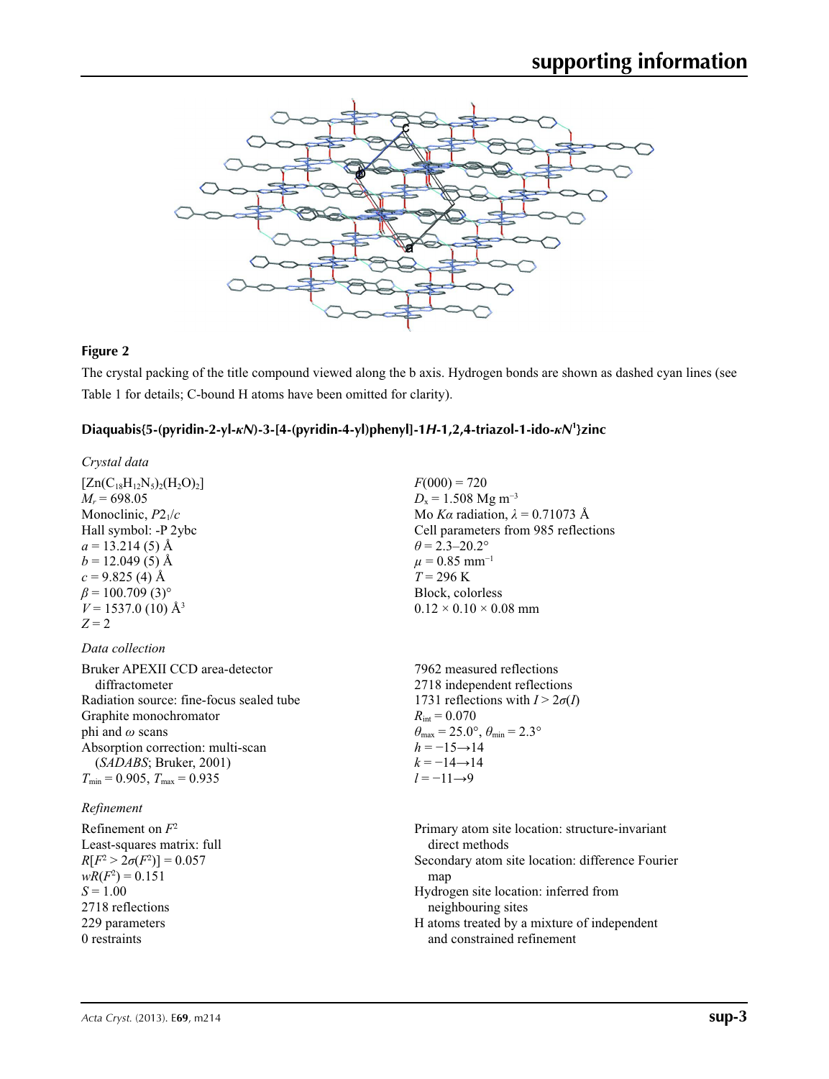

# **Figure 2**

The crystal packing of the title compound viewed along the b axis. Hydrogen bonds are shown as dashed cyan lines (see Table 1 for details; C-bound H atoms have been omitted for clarity).

# **Diaquabis{5-(pyridin-2-yl-***κN***)-3-[4-(pyridin-4-yl)phenyl]-1***H***-1,2,4-triazol-1-ido-***κN***<sup>1</sup> }zinc**

| Crystal data                                                                                                                                                                                                                                               |                                                                                                                                                                                                                                                                                            |
|------------------------------------------------------------------------------------------------------------------------------------------------------------------------------------------------------------------------------------------------------------|--------------------------------------------------------------------------------------------------------------------------------------------------------------------------------------------------------------------------------------------------------------------------------------------|
| $[Zn(C_{18}H_{12}N_5)_2(H_2O)_2]$<br>$M_r = 698.05$<br>Monoclinic, $P2_1/c$<br>Hall symbol: -P 2ybc<br>$a = 13.214(5)$ Å<br>$b = 12.049(5)$ Å<br>$c = 9.825$ (4) Å<br>$\beta$ = 100.709 (3) <sup>o</sup><br>$V = 1537.0$ (10) Å <sup>3</sup><br>$Z = 2$    | $F(000) = 720$<br>$D_x = 1.508$ Mg m <sup>-3</sup><br>Mo Ka radiation, $\lambda = 0.71073$ Å<br>Cell parameters from 985 reflections<br>$\theta$ = 2.3–20.2°<br>$\mu$ = 0.85 mm <sup>-1</sup><br>$T = 296 \text{ K}$<br>Block, colorless<br>$0.12 \times 0.10 \times 0.08$ mm              |
| Data collection                                                                                                                                                                                                                                            |                                                                                                                                                                                                                                                                                            |
| Bruker APEXII CCD area-detector<br>diffractometer<br>Radiation source: fine-focus sealed tube<br>Graphite monochromator<br>phi and $\omega$ scans<br>Absorption correction: multi-scan<br>(SADABS; Bruker, 2001)<br>$T_{\min}$ = 0.905, $T_{\max}$ = 0.935 | 7962 measured reflections<br>2718 independent reflections<br>1731 reflections with $I > 2\sigma(I)$<br>$R_{\rm int} = 0.070$<br>$\theta_{\text{max}} = 25.0^{\circ}, \theta_{\text{min}} = 2.3^{\circ}$<br>$h = -15 \rightarrow 14$<br>$k = -14 \rightarrow 14$<br>$l = -11 \rightarrow 9$ |
| Refinement                                                                                                                                                                                                                                                 |                                                                                                                                                                                                                                                                                            |
| Refinement on $F^2$<br>Least-squares matrix: full<br>$R[F^2 > 2\sigma(F^2)] = 0.057$<br>$wR(F^2) = 0.151$<br>$S = 1.00$<br>2718 reflections<br>229 parameters<br>0 restraints                                                                              | Primary atom site location: structure-invariant<br>direct methods<br>Secondary atom site location: difference Fourie<br>map<br>Hydrogen site location: inferred from<br>neighbouring sites<br>H atoms treated by a mixture of independent<br>and constrained refinement                    |
|                                                                                                                                                                                                                                                            |                                                                                                                                                                                                                                                                                            |

Fourier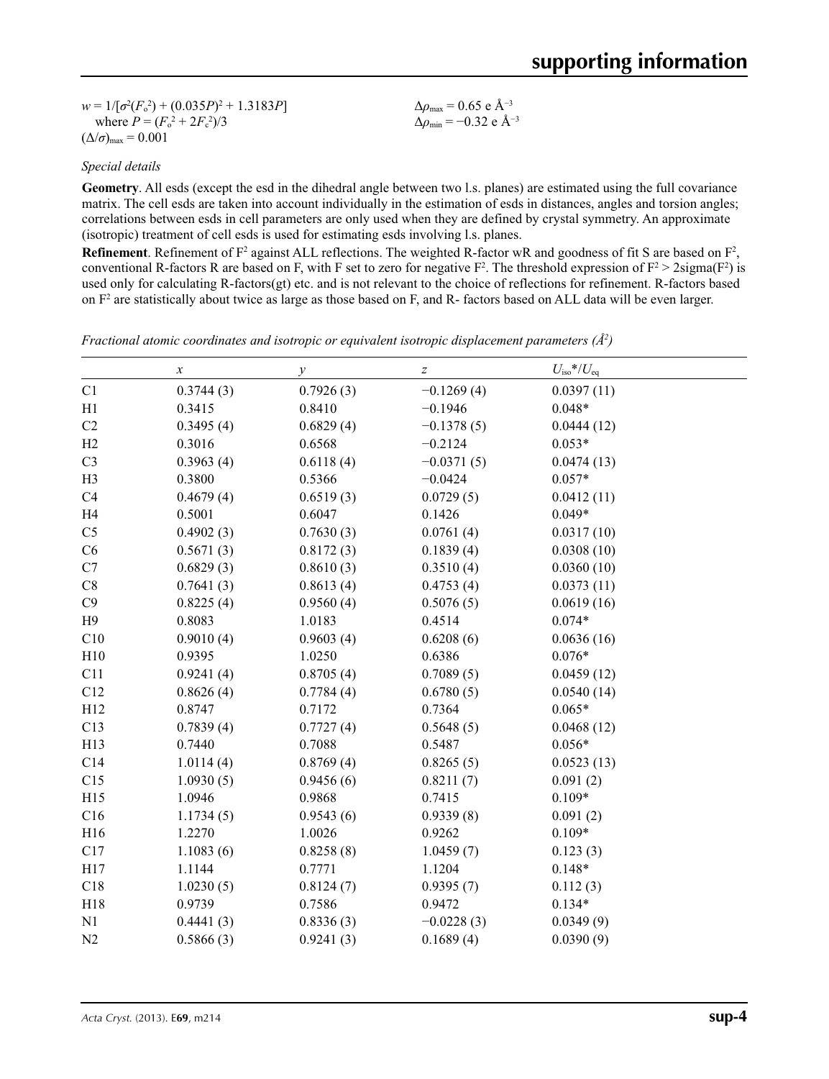$w = 1/[\sigma^2 (F_o^2) + (0.035P)^2 + 1.3183P]$ where  $P = (F_o^2 + 2F_c^2)/3$  $(\Delta/\sigma)_{\text{max}} = 0.001$ Δ*ρ*max = 0.65 e Å−3 Δ*ρ*min = −0.32 e Å−3

### *Special details*

**Geometry**. All esds (except the esd in the dihedral angle between two l.s. planes) are estimated using the full covariance matrix. The cell esds are taken into account individually in the estimation of esds in distances, angles and torsion angles; correlations between esds in cell parameters are only used when they are defined by crystal symmetry. An approximate (isotropic) treatment of cell esds is used for estimating esds involving l.s. planes.

**Refinement**. Refinement of  $F^2$  against ALL reflections. The weighted R-factor wR and goodness of fit S are based on  $F^2$ , conventional R-factors R are based on F, with F set to zero for negative  $F^2$ . The threshold expression of  $F^2 > 2 \text{sigma}(F^2)$  is used only for calculating R-factors(gt) etc. and is not relevant to the choice of reflections for refinement. R-factors based on  $F<sup>2</sup>$  are statistically about twice as large as those based on F, and R- factors based on ALL data will be even larger.

| Fractional atomic coordinates and isotropic or equivalent isotropic displacement parameters $(\AA^2)$ |  |  |  |
|-------------------------------------------------------------------------------------------------------|--|--|--|
|                                                                                                       |  |  |  |

|                | $\boldsymbol{x}$ | у         | $\boldsymbol{Z}$ | $U_{\rm iso}*/U_{\rm eq}$ |  |
|----------------|------------------|-----------|------------------|---------------------------|--|
| C1             | 0.3744(3)        | 0.7926(3) | $-0.1269(4)$     | 0.0397(11)                |  |
| H1             | 0.3415           | 0.8410    | $-0.1946$        | $0.048*$                  |  |
| C2             | 0.3495(4)        | 0.6829(4) | $-0.1378(5)$     | 0.0444(12)                |  |
| H2             | 0.3016           | 0.6568    | $-0.2124$        | $0.053*$                  |  |
| C <sub>3</sub> | 0.3963(4)        | 0.6118(4) | $-0.0371(5)$     | 0.0474(13)                |  |
| H <sub>3</sub> | 0.3800           | 0.5366    | $-0.0424$        | $0.057*$                  |  |
| C4             | 0.4679(4)        | 0.6519(3) | 0.0729(5)        | 0.0412(11)                |  |
| H <sub>4</sub> | 0.5001           | 0.6047    | 0.1426           | $0.049*$                  |  |
| C <sub>5</sub> | 0.4902(3)        | 0.7630(3) | 0.0761(4)        | 0.0317(10)                |  |
| C6             | 0.5671(3)        | 0.8172(3) | 0.1839(4)        | 0.0308(10)                |  |
| C7             | 0.6829(3)        | 0.8610(3) | 0.3510(4)        | 0.0360(10)                |  |
| $\rm{C}8$      | 0.7641(3)        | 0.8613(4) | 0.4753(4)        | 0.0373(11)                |  |
| C9             | 0.8225(4)        | 0.9560(4) | 0.5076(5)        | 0.0619(16)                |  |
| H9             | 0.8083           | 1.0183    | 0.4514           | $0.074*$                  |  |
| C10            | 0.9010(4)        | 0.9603(4) | 0.6208(6)        | 0.0636(16)                |  |
| H10            | 0.9395           | 1.0250    | 0.6386           | $0.076*$                  |  |
| C11            | 0.9241(4)        | 0.8705(4) | 0.7089(5)        | 0.0459(12)                |  |
| C12            | 0.8626(4)        | 0.7784(4) | 0.6780(5)        | 0.0540(14)                |  |
| H12            | 0.8747           | 0.7172    | 0.7364           | $0.065*$                  |  |
| C13            | 0.7839(4)        | 0.7727(4) | 0.5648(5)        | 0.0468(12)                |  |
| H13            | 0.7440           | 0.7088    | 0.5487           | $0.056*$                  |  |
| C14            | 1.0114(4)        | 0.8769(4) | 0.8265(5)        | 0.0523(13)                |  |
| C15            | 1.0930(5)        | 0.9456(6) | 0.8211(7)        | 0.091(2)                  |  |
| H15            | 1.0946           | 0.9868    | 0.7415           | $0.109*$                  |  |
| C16            | 1.1734(5)        | 0.9543(6) | 0.9339(8)        | 0.091(2)                  |  |
| H16            | 1.2270           | 1.0026    | 0.9262           | $0.109*$                  |  |
| C17            | 1.1083(6)        | 0.8258(8) | 1.0459(7)        | 0.123(3)                  |  |
| H17            | 1.1144           | 0.7771    | 1.1204           | $0.148*$                  |  |
| C18            | 1.0230(5)        | 0.8124(7) | 0.9395(7)        | 0.112(3)                  |  |
| H18            | 0.9739           | 0.7586    | 0.9472           | $0.134*$                  |  |
| N1             | 0.4441(3)        | 0.8336(3) | $-0.0228(3)$     | 0.0349(9)                 |  |
| $\mathbf{N2}$  | 0.5866(3)        | 0.9241(3) | 0.1689(4)        | 0.0390(9)                 |  |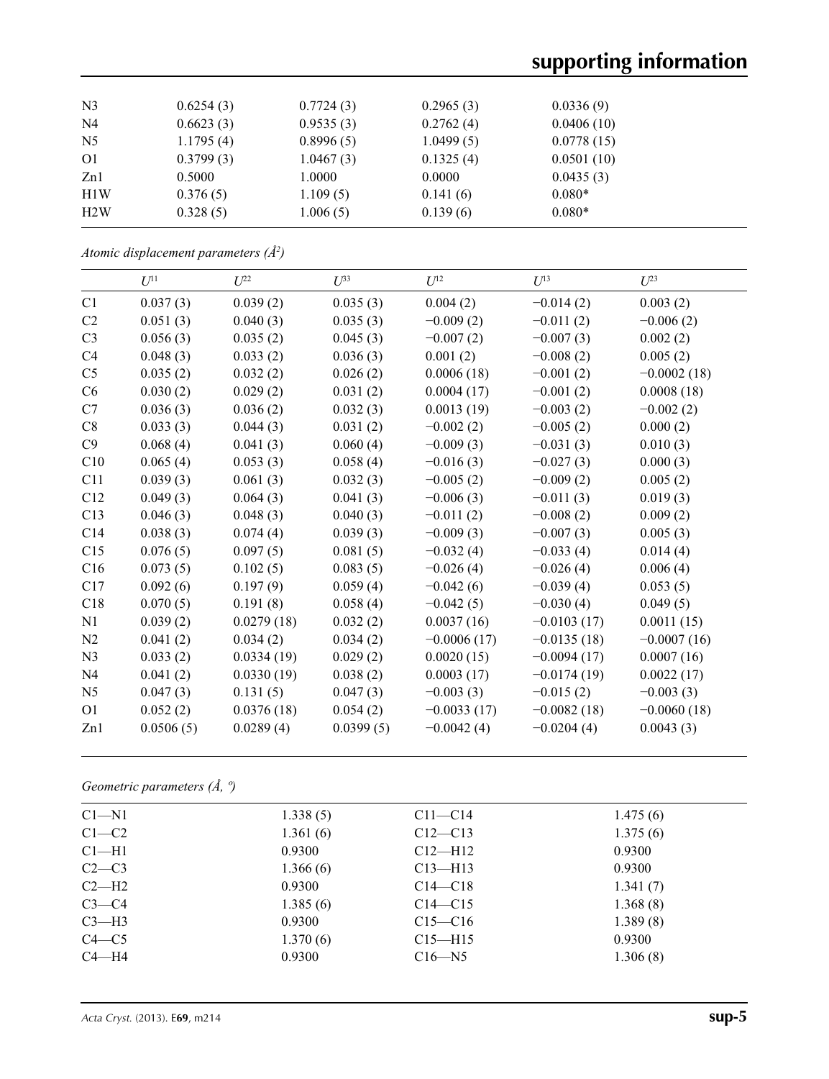# **supporting information**

| N <sub>3</sub> | 0.6254(3) | 0.7724(3) | 0.2965(3) | 0.0336(9)  |  |
|----------------|-----------|-----------|-----------|------------|--|
| N <sub>4</sub> | 0.6623(3) | 0.9535(3) | 0.2762(4) | 0.0406(10) |  |
| N <sub>5</sub> | 1.1795(4) | 0.8996(5) | 1.0499(5) | 0.0778(15) |  |
| O <sub>1</sub> | 0.3799(3) | 1.0467(3) | 0.1325(4) | 0.0501(10) |  |
| Zn1            | 0.5000    | 1.0000    | 0.0000    | 0.0435(3)  |  |
| H1W            | 0.376(5)  | 1.109(5)  | 0.141(6)  | $0.080*$   |  |
| H2W            | 0.328(5)  | 1.006(5)  | 0.139(6)  | $0.080*$   |  |
|                |           |           |           |            |  |

*Atomic displacement parameters (Å2 )*

|                | $U^{11}$  | $U^{22}$   | $U^{33}$  | $U^{12}$      | $U^{13}$      | $U^{23}$      |
|----------------|-----------|------------|-----------|---------------|---------------|---------------|
| C1             | 0.037(3)  | 0.039(2)   | 0.035(3)  | 0.004(2)      | $-0.014(2)$   | 0.003(2)      |
| C <sub>2</sub> | 0.051(3)  | 0.040(3)   | 0.035(3)  | $-0.009(2)$   | $-0.011(2)$   | $-0.006(2)$   |
| C <sub>3</sub> | 0.056(3)  | 0.035(2)   | 0.045(3)  | $-0.007(2)$   | $-0.007(3)$   | 0.002(2)      |
| C <sub>4</sub> | 0.048(3)  | 0.033(2)   | 0.036(3)  | 0.001(2)      | $-0.008(2)$   | 0.005(2)      |
| C <sub>5</sub> | 0.035(2)  | 0.032(2)   | 0.026(2)  | 0.0006(18)    | $-0.001(2)$   | $-0.0002(18)$ |
| C <sub>6</sub> | 0.030(2)  | 0.029(2)   | 0.031(2)  | 0.0004(17)    | $-0.001(2)$   | 0.0008(18)    |
| C7             | 0.036(3)  | 0.036(2)   | 0.032(3)  | 0.0013(19)    | $-0.003(2)$   | $-0.002(2)$   |
| C8             | 0.033(3)  | 0.044(3)   | 0.031(2)  | $-0.002(2)$   | $-0.005(2)$   | 0.000(2)      |
| C9             | 0.068(4)  | 0.041(3)   | 0.060(4)  | $-0.009(3)$   | $-0.031(3)$   | 0.010(3)      |
| C10            | 0.065(4)  | 0.053(3)   | 0.058(4)  | $-0.016(3)$   | $-0.027(3)$   | 0.000(3)      |
| C11            | 0.039(3)  | 0.061(3)   | 0.032(3)  | $-0.005(2)$   | $-0.009(2)$   | 0.005(2)      |
| C12            | 0.049(3)  | 0.064(3)   | 0.041(3)  | $-0.006(3)$   | $-0.011(3)$   | 0.019(3)      |
| C13            | 0.046(3)  | 0.048(3)   | 0.040(3)  | $-0.011(2)$   | $-0.008(2)$   | 0.009(2)      |
| C14            | 0.038(3)  | 0.074(4)   | 0.039(3)  | $-0.009(3)$   | $-0.007(3)$   | 0.005(3)      |
| C15            | 0.076(5)  | 0.097(5)   | 0.081(5)  | $-0.032(4)$   | $-0.033(4)$   | 0.014(4)      |
| C16            | 0.073(5)  | 0.102(5)   | 0.083(5)  | $-0.026(4)$   | $-0.026(4)$   | 0.006(4)      |
| C17            | 0.092(6)  | 0.197(9)   | 0.059(4)  | $-0.042(6)$   | $-0.039(4)$   | 0.053(5)      |
| C18            | 0.070(5)  | 0.191(8)   | 0.058(4)  | $-0.042(5)$   | $-0.030(4)$   | 0.049(5)      |
| N1             | 0.039(2)  | 0.0279(18) | 0.032(2)  | 0.0037(16)    | $-0.0103(17)$ | 0.0011(15)    |
| N2             | 0.041(2)  | 0.034(2)   | 0.034(2)  | $-0.0006(17)$ | $-0.0135(18)$ | $-0.0007(16)$ |
| N <sub>3</sub> | 0.033(2)  | 0.0334(19) | 0.029(2)  | 0.0020(15)    | $-0.0094(17)$ | 0.0007(16)    |
| N <sub>4</sub> | 0.041(2)  | 0.0330(19) | 0.038(2)  | 0.0003(17)    | $-0.0174(19)$ | 0.0022(17)    |
| N <sub>5</sub> | 0.047(3)  | 0.131(5)   | 0.047(3)  | $-0.003(3)$   | $-0.015(2)$   | $-0.003(3)$   |
| O <sub>1</sub> | 0.052(2)  | 0.0376(18) | 0.054(2)  | $-0.0033(17)$ | $-0.0082(18)$ | $-0.0060(18)$ |
| Zn1            | 0.0506(5) | 0.0289(4)  | 0.0399(5) | $-0.0042(4)$  | $-0.0204(4)$  | 0.0043(3)     |

*Geometric parameters (Å, º)*

| $Cl - N1$ | 1.338(5) | $C11-C14$   | 1.475(6) |  |
|-----------|----------|-------------|----------|--|
| $C1-C2$   | 1.361(6) | $C12 - C13$ | 1.375(6) |  |
| $Cl-H1$   | 0.9300   | $C12-H12$   | 0.9300   |  |
| $C2-C3$   | 1.366(6) | $C13$ —H13  | 0.9300   |  |
| $C2-H2$   | 0.9300   | $C14 - C18$ | 1.341(7) |  |
| $C3-C4$   | 1.385(6) | $C14 - C15$ | 1.368(8) |  |
| $C3-H3$   | 0.9300   | $C15 - C16$ | 1.389(8) |  |
| $C4 - C5$ | 1.370(6) | $C15 - H15$ | 0.9300   |  |
| $C4 - H4$ | 0.9300   | $C16 - N5$  | 1.306(8) |  |
|           |          |             |          |  |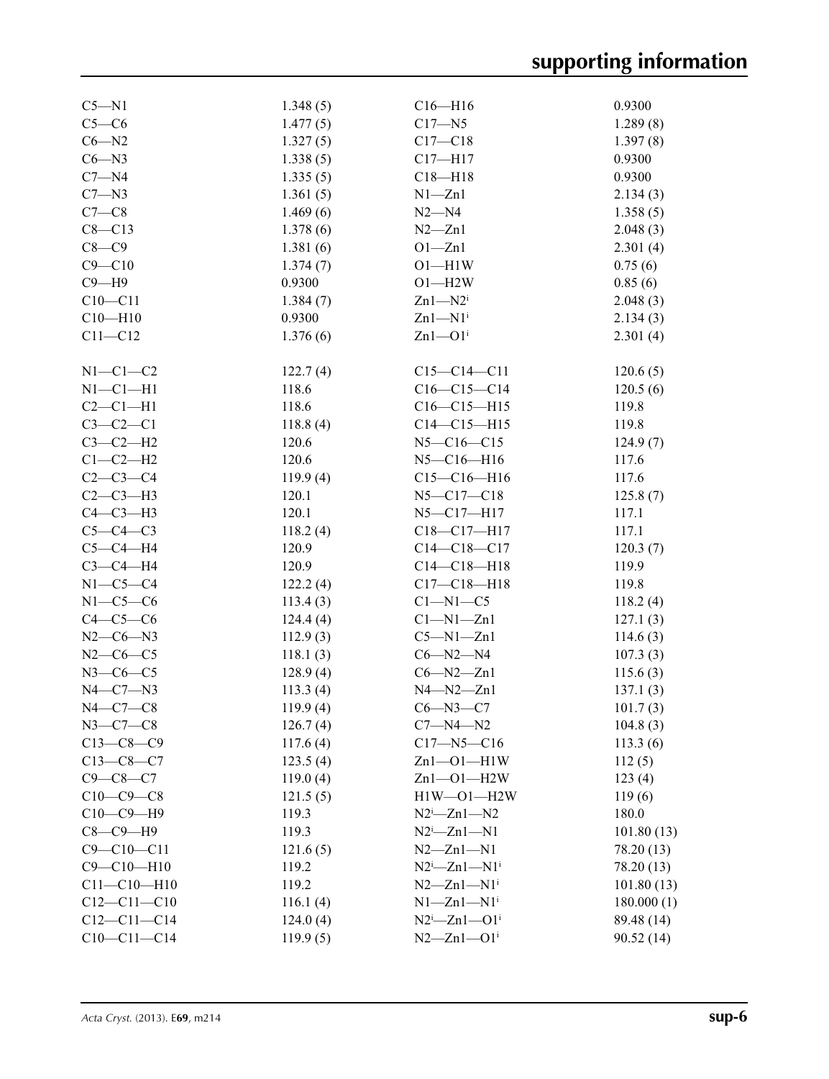| $C5 - N1$         | 1.348(5) | $C16 - H16$                  | 0.9300     |
|-------------------|----------|------------------------------|------------|
| $C5-C6$           | 1.477(5) | $C17 - N5$                   | 1.289(8)   |
| $C6 - N2$         | 1.327(5) | $C17 - C18$                  | 1.397(8)   |
| $C6 - N3$         | 1.338(5) | $C17 - H17$                  | 0.9300     |
| $C7 - N4$         | 1.335(5) | $C18 - H18$                  | 0.9300     |
| $C7 - N3$         | 1.361(5) | $N1 - Zn1$                   | 2.134(3)   |
| $C7-C8$           | 1.469(6) | $N2 - N4$                    |            |
| $C8 - C13$        |          |                              | 1.358(5)   |
|                   | 1.378(6) | $N2 - Zn1$                   | 2.048(3)   |
| $C8-C9$           | 1.381(6) | $O1 - Zn1$                   | 2.301(4)   |
| $C9 - C10$        | 1.374(7) | $O1 - H1W$                   | 0.75(6)    |
| $C9 - H9$         | 0.9300   | $O1 - H2W$                   | 0.85(6)    |
| $C10 - C11$       | 1.384(7) | $Zn1 - N2i$                  | 2.048(3)   |
| $C10 - H10$       | 0.9300   | $Zn1-M1$ <sup>i</sup>        | 2.134(3)   |
| $C11 - C12$       | 1.376(6) | $Zn1$ — $O1i$                | 2.301(4)   |
| $N1-C1-C2$        | 122.7(4) | $C15 - C14 - C11$            | 120.6(5)   |
| $N1-C1-H1$        | 118.6    | $C16-C15-C14$                | 120.5(6)   |
| $C2-C1-H1$        | 118.6    | $C16-C15-H15$                | 119.8      |
| $C3-C2-C1$        | 118.8(4) | $C14 - C15 - H15$            | 119.8      |
| $C3-C2-H2$        | 120.6    | $N5 - C16 - C15$             | 124.9(7)   |
| $C1-C2-H2$        | 120.6    | $N5 - C16 - H16$             | 117.6      |
| $C2-C3-C4$        | 119.9(4) | $C15-C16-H16$                | 117.6      |
| $C2-C3-H3$        | 120.1    | $N5 - C17 - C18$             | 125.8(7)   |
| $C4-C3-H3$        | 120.1    | $N5 - C17 - H17$             | 117.1      |
| $C5-C4-C3$        | 118.2(4) | C18-C17-H17                  | 117.1      |
| $C5-C4-H4$        | 120.9    | $C14-C18-C17$                | 120.3(7)   |
| $C3-C4-H4$        | 120.9    | $C14 - C18 - H18$            | 119.9      |
| $N1-C5-C4$        | 122.2(4) | $C17 - C18 - H18$            | 119.8      |
| $N1-C5-C6$        | 113.4(3) | $C1 - N1 - C5$               | 118.2(4)   |
| $C4-C5-C6$        |          |                              |            |
|                   | 124.4(4) | $Cl-M1-Zn1$                  | 127.1(3)   |
| $N2-C6-N3$        | 112.9(3) | $C5 - N1 - Zn1$              | 114.6(3)   |
| $N2-C6-C5$        | 118.1(3) | $C6 - N2 - N4$               | 107.3(3)   |
| $N3$ –C6–C5       | 128.9(4) | $C6 - N2 - Zn1$              | 115.6(3)   |
| $N4-C7-N3$        | 113.3(4) | $N4 - N2 - Zn1$              | 137.1(3)   |
| $N4-C7-C8$        | 119.9(4) | $C6 - N3 - C7$               | 101.7(3)   |
| $N3 - C7 - C8$    | 126.7(4) | $C7 - N4 - N2$               | 104.8(3)   |
| $C13-C8-C9$       | 117.6(4) | $C17 - N5 - C16$             | 113.3(6)   |
| $C13-C8-C7$       | 123.5(4) | $Zn1 - O1 - H1W$             | 112(5)     |
| $C9 - C8 - C7$    | 119.0(4) | $Zn1 - O1 - H2W$             | 123(4)     |
| $C10-C9-C8$       | 121.5(5) | $H1W - O1 - H2W$             | 119(6)     |
| $C10-C9-H9$       | 119.3    | $N2^i$ -Znl- $N2$            | 180.0      |
| $C8-C9-H9$        | 119.3    | $N2^i$ -Zn1- $N1$            | 101.80(13) |
| $C9 - C10 - C11$  | 121.6(5) | $N2 - Zn1 - N1$              | 78.20 (13) |
| $C9 - C10 - H10$  | 119.2    | $N2^i$ -Zn1- $N1^i$          | 78.20 (13) |
| $C11 - C10 - H10$ | 119.2    | $N2 - Zn1 - N1$ <sup>i</sup> | 101.80(13) |
| $C12 - C11 - C10$ | 116.1(4) | $N1 - Zn1 - N1$ <sup>i</sup> | 180.000(1) |
| $C12 - C11 - C14$ | 124.0(4) | $N2^i$ -Znl--Ol <sup>i</sup> | 89.48 (14) |
| $C10-C11-C14$     | 119.9(5) | $N2 - Zn1 - O1$ <sup>i</sup> | 90.52(14)  |